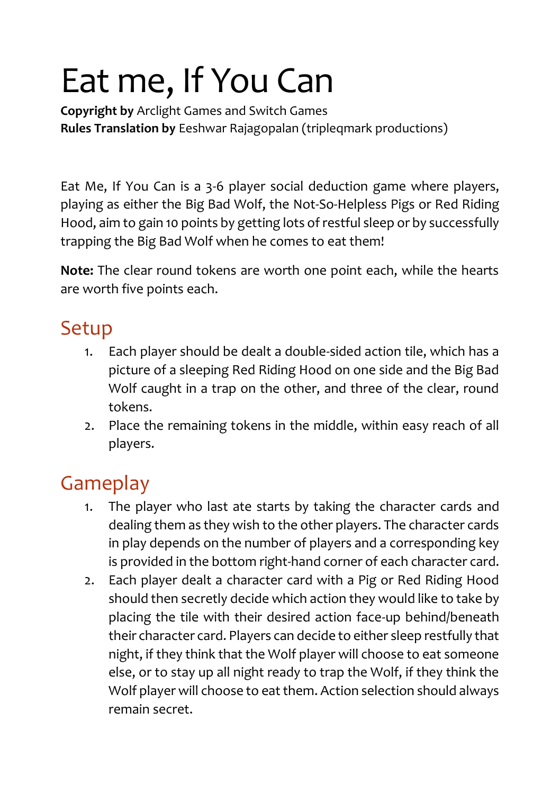## Eat me, If You Can

**Copyright by** Arclight Games and Switch Games **Rules Translation by** Eeshwar Rajagopalan (tripleqmark productions)

Eat Me, If You Can is a 3-6 player social deduction game where players, playing as either the Big Bad Wolf, the Not-So-Helpless Pigs or Red Riding Hood, aim to gain 10 points by getting lots of restful sleep or by successfully trapping the Big Bad Wolf when he comes to eat them!

**Note:** The clear round tokens are worth one point each, while the hearts are worth five points each.

## Setup

- 1. Each player should be dealt a double-sided action tile, which has a picture of a sleeping Red Riding Hood on one side and the Big Bad Wolf caught in a trap on the other, and three of the clear, round tokens.
- 2. Place the remaining tokens in the middle, within easy reach of all players.

## Gameplay

- 1. The player who last ate starts by taking the character cards and dealing them as they wish to the other players. The character cards in play depends on the number of players and a corresponding key is provided in the bottom right-hand corner of each character card.
- 2. Each player dealt a character card with a Pig or Red Riding Hood should then secretly decide which action they would like to take by placing the tile with their desired action face-up behind/beneath their character card. Players can decide to either sleep restfully that night, if they think that the Wolf player will choose to eat someone else, or to stay up all night ready to trap the Wolf, if they think the Wolf player will choose to eat them. Action selection should always remain secret.